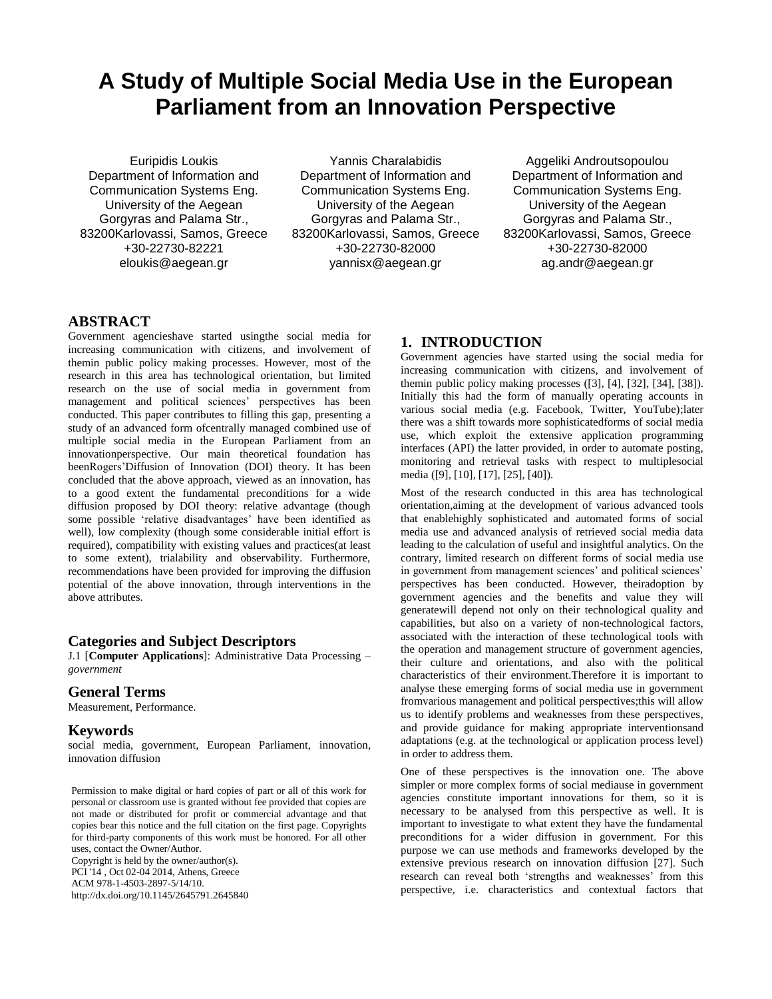# **A Study of Multiple Social Media Use in the European Parliament from an Innovation Perspective**

Euripidis Loukis Department of Information and Communication Systems Eng. University of the Aegean Gorgyras and Palama Str., 83200Karlovassi, Samos, Greece +30-22730-82221 eloukis@aegean.gr

Yannis Charalabidis Department of Information and Communication Systems Eng. University of the Aegean Gorgyras and Palama Str., 83200Karlovassi, Samos, Greece +30-22730-82000 yannisx@aegean.gr

Aggeliki Androutsopoulou Department of Information and Communication Systems Eng. University of the Aegean Gorgyras and Palama Str., 83200Karlovassi, Samos, Greece +30-22730-82000 ag.andr@aegean.gr

# **ABSTRACT**

Government agencieshave started usingthe social media for increasing communication with citizens, and involvement of themin public policy making processes. However, most of the research in this area has technological orientation, but limited research on the use of social media in government from management and political sciences' perspectives has been conducted. This paper contributes to filling this gap, presenting a study of an advanced form ofcentrally managed combined use of multiple social media in the European Parliament from an innovationperspective. Our main theoretical foundation has beenRogers'Diffusion of Innovation (DOI) theory. It has been concluded that the above approach, viewed as an innovation, has to a good extent the fundamental preconditions for a wide diffusion proposed by DOI theory: relative advantage (though some possible 'relative disadvantages' have been identified as well), low complexity (though some considerable initial effort is required), compatibility with existing values and practices(at least to some extent), trialability and observability. Furthermore, recommendations have been provided for improving the diffusion potential of the above innovation, through interventions in the above attributes.

### **Categories and Subject Descriptors**

J.1 [**Computer Applications**]: Administrative Data Processing – *government*

#### **General Terms**

Measurement, Performance.

### **Keywords**

social media, government, European Parliament, innovation, innovation diffusion

Permission to make digital or hard copies of part or all of this work for personal or classroom use is granted without fee provided that copies are not made or distributed for profit or commercial advantage and that copies bear this notice and the full citation on the first page. Copyrights for third-party components of this work must be honored. For all other uses, contact the Owner/Author. Copyright is held by the owner/author(s). PCI '14 , Oct 02-04 2014, Athens, Greece ACM 978-1-4503-2897-5/14/10.

http://dx.doi.org/10.1145/2645791.2645840

### **1. INTRODUCTION**

Government agencies have started using the social media for increasing communication with citizens, and involvement of themin public policy making processes ([3], [4], [32], [34], [38]). Initially this had the form of manually operating accounts in various social media (e.g. Facebook, Twitter, YouTube);later there was a shift towards more sophisticatedforms of social media use, which exploit the extensive application programming interfaces (API) the latter provided, in order to automate posting, monitoring and retrieval tasks with respect to multiplesocial media ([9], [10], [17], [25], [40]).

Most of the research conducted in this area has technological orientation,aiming at the development of various advanced tools that enablehighly sophisticated and automated forms of social media use and advanced analysis of retrieved social media data leading to the calculation of useful and insightful analytics. On the contrary, limited research on different forms of social media use in government from management sciences' and political sciences' perspectives has been conducted. However, theiradoption by government agencies and the benefits and value they will generatewill depend not only on their technological quality and capabilities, but also on a variety of non-technological factors, associated with the interaction of these technological tools with the operation and management structure of government agencies, their culture and orientations, and also with the political characteristics of their environment.Therefore it is important to analyse these emerging forms of social media use in government fromvarious management and political perspectives;this will allow us to identify problems and weaknesses from these perspectives, and provide guidance for making appropriate interventionsand adaptations (e.g. at the technological or application process level) in order to address them.

One of these perspectives is the innovation one. The above simpler or more complex forms of social mediause in government agencies constitute important innovations for them, so it is necessary to be analysed from this perspective as well. It is important to investigate to what extent they have the fundamental preconditions for a wider diffusion in government. For this purpose we can use methods and frameworks developed by the extensive previous research on innovation diffusion [27]. Such research can reveal both 'strengths and weaknesses' from this perspective, i.e. characteristics and contextual factors that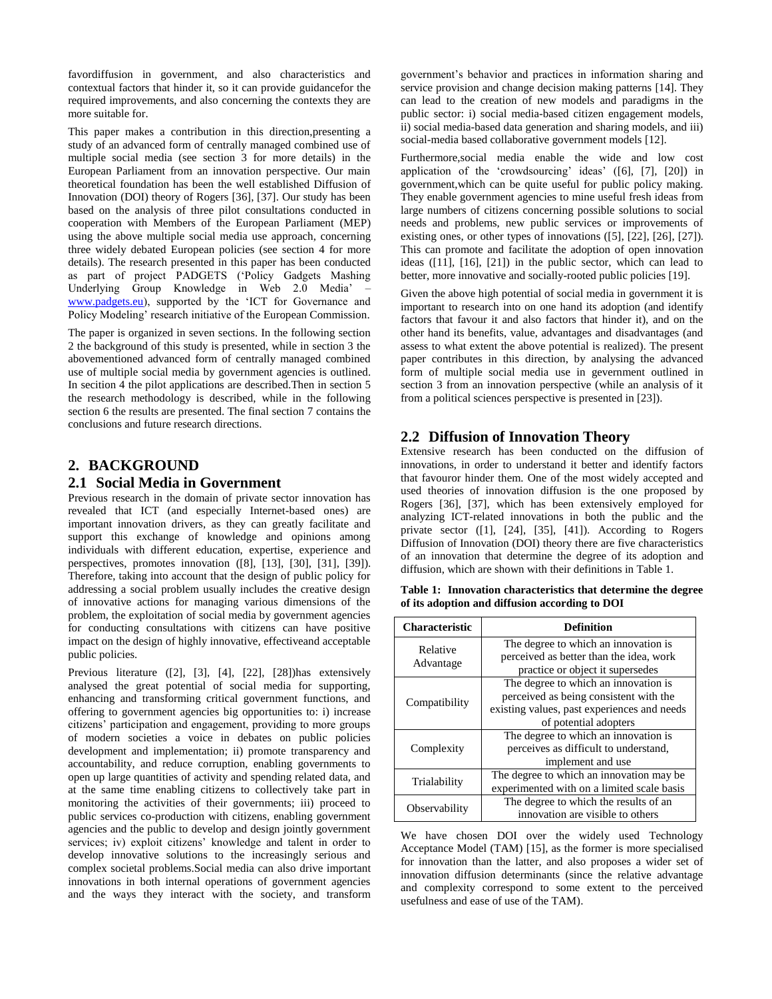favordiffusion in government, and also characteristics and contextual factors that hinder it, so it can provide guidancefor the required improvements, and also concerning the contexts they are more suitable for.

This paper makes a contribution in this direction,presenting a study of an advanced form of centrally managed combined use of multiple social media (see section 3 for more details) in the European Parliament from an innovation perspective. Our main theoretical foundation has been the well established Diffusion of Innovation (DOI) theory of Rogers [36], [37]. Our study has been based on the analysis of three pilot consultations conducted in cooperation with Members of the European Parliament (MEP) using the above multiple social media use approach, concerning three widely debated European policies (see section 4 for more details). The research presented in this paper has been conducted as part of project PADGETS ('Policy Gadgets Mashing Underlying Group Knowledge in Web 2.0 Media' – [www.padgets.eu\)](http://www.padgets.eu/), supported by the 'ICT for Governance and Policy Modeling' research initiative of the European Commission.

The paper is organized in seven sections. In the following section 2 the background of this study is presented, while in section 3 the abovementioned advanced form of centrally managed combined use of multiple social media by government agencies is outlined. In secition 4 the pilot applications are described.Then in section 5 the research methodology is described, while in the following section 6 the results are presented. The final section 7 contains the conclusions and future research directions.

### **2. BACKGROUND**

#### **2.1 Social Media in Government**

Previous research in the domain of private sector innovation has revealed that ICT (and especially Internet-based ones) are important innovation drivers, as they can greatly facilitate and support this exchange of knowledge and opinions among individuals with different education, expertise, experience and perspectives, promotes innovation ([8], [13], [30], [31], [39]). Therefore, taking into account that the design of public policy for addressing a social problem usually includes the creative design of innovative actions for managing various dimensions of the problem, the exploitation of social media by government agencies for conducting consultations with citizens can have positive impact on the design of highly innovative, effectiveand acceptable public policies.

Previous literature ([2], [3], [4], [22], [28])has extensively analysed the great potential of social media for supporting, enhancing and transforming critical government functions, and offering to government agencies big opportunities to: i) increase citizens' participation and engagement, providing to more groups of modern societies a voice in debates on public policies development and implementation; ii) promote transparency and accountability, and reduce corruption, enabling governments to open up large quantities of activity and spending related data, and at the same time enabling citizens to collectively take part in monitoring the activities of their governments; iii) proceed to public services co-production with citizens, enabling government agencies and the public to develop and design jointly government services; iv) exploit citizens' knowledge and talent in order to develop innovative solutions to the increasingly serious and complex societal problems.Social media can also drive important innovations in both internal operations of government agencies and the ways they interact with the society, and transform

government's behavior and practices in information sharing and service provision and change decision making patterns [14]. They can lead to the creation of new models and paradigms in the public sector: i) social media-based citizen engagement models, ii) social media-based data generation and sharing models, and iii) social-media based collaborative government models [12].

Furthermore,social media enable the wide and low cost application of the 'crowdsourcing' ideas' ([6], [7], [20]) in government,which can be quite useful for public policy making. They enable government agencies to mine useful fresh ideas from large numbers of citizens concerning possible solutions to social needs and problems, new public services or improvements of existing ones, or other types of innovations ([5], [22], [26], [27]). This can promote and facilitate the adoption of open innovation ideas ([11], [16], [21]) in the public sector, which can lead to better, more innovative and socially-rooted public policies [19].

Given the above high potential of social media in government it is important to research into on one hand its adoption (and identify factors that favour it and also factors that hinder it), and on the other hand its benefits, value, advantages and disadvantages (and assess to what extent the above potential is realized). The present paper contributes in this direction, by analysing the advanced form of multiple social media use in gevernment outlined in section 3 from an innovation perspective (while an analysis of it from a political sciences perspective is presented in [23]).

### **2.2 Diffusion of Innovation Theory**

Extensive research has been conducted on the diffusion of innovations, in order to understand it better and identify factors that favouror hinder them. One of the most widely accepted and used theories of innovation diffusion is the one proposed by Rogers [36], [37], which has been extensively employed for analyzing ICT-related innovations in both the public and the private sector ([1], [24], [35], [41]). According to Rogers Diffusion of Innovation (DOI) theory there are five characteristics of an innovation that determine the degree of its adoption and diffusion, which are shown with their definitions in Table 1.

| <b>Characteristic</b> | <b>Definition</b>                           |
|-----------------------|---------------------------------------------|
| Relative<br>Advantage | The degree to which an innovation is        |
|                       | perceived as better than the idea, work     |
|                       | practice or object it supersedes            |
| Compatibility         | The degree to which an innovation is        |
|                       | perceived as being consistent with the      |
|                       | existing values, past experiences and needs |
|                       | of potential adopters                       |
| Complexity            | The degree to which an innovation is        |
|                       | perceives as difficult to understand,       |
|                       | implement and use                           |
| Trialability          | The degree to which an innovation may be.   |
|                       | experimented with on a limited scale basis  |
| Observability         | The degree to which the results of an       |
|                       | innovation are visible to others            |

**Table 1: Innovation characteristics that determine the degree of its adoption and diffusion according to DOI**

We have chosen DOI over the widely used Technology Acceptance Model (TAM) [15], as the former is more specialised for innovation than the latter, and also proposes a wider set of innovation diffusion determinants (since the relative advantage and complexity correspond to some extent to the perceived usefulness and ease of use of the TAM).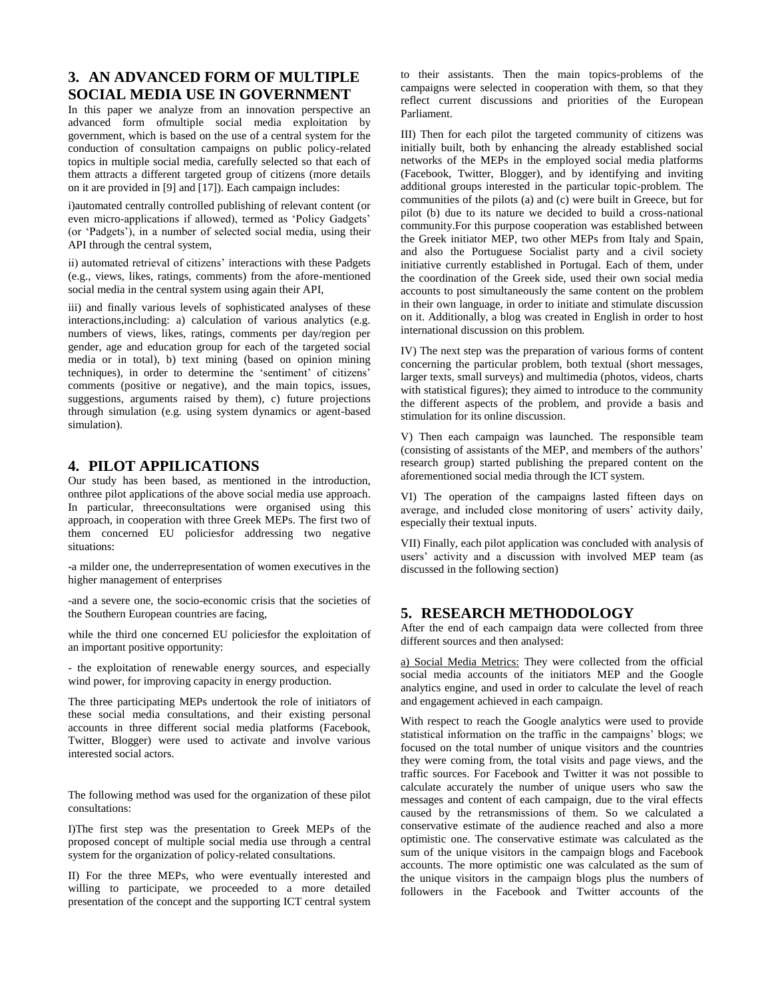# **3. AN ADVANCED FORM OF MULTIPLE SOCIAL MEDIA USE IN GOVERNMENT**

In this paper we analyze from an innovation perspective an advanced form ofmultiple social media exploitation by government, which is based on the use of a central system for the conduction of consultation campaigns on public policy-related topics in multiple social media, carefully selected so that each of them attracts a different targeted group of citizens (more details on it are provided in [9] and [17]). Each campaign includes:

i)automated centrally controlled publishing of relevant content (or even micro-applications if allowed), termed as 'Policy Gadgets' (or 'Padgets'), in a number of selected social media, using their API through the central system,

ii) automated retrieval of citizens' interactions with these Padgets (e.g., views, likes, ratings, comments) from the afore-mentioned social media in the central system using again their API,

iii) and finally various levels of sophisticated analyses of these interactions,including: a) calculation of various analytics (e.g. numbers of views, likes, ratings, comments per day/region per gender, age and education group for each of the targeted social media or in total), b) text mining (based on opinion mining techniques), in order to determine the 'sentiment' of citizens' comments (positive or negative), and the main topics, issues, suggestions, arguments raised by them), c) future projections through simulation (e.g. using system dynamics or agent-based simulation).

## **4. PILOT APPILICATIONS**

Our study has been based, as mentioned in the introduction, onthree pilot applications of the above social media use approach. In particular, threeconsultations were organised using this approach, in cooperation with three Greek MEPs. The first two of them concerned EU policiesfor addressing two negative situations:

-a milder one, the underrepresentation of women executives in the higher management of enterprises

-and a severe one, the socio-economic crisis that the societies of the Southern European countries are facing,

while the third one concerned EU policiesfor the exploitation of an important positive opportunity:

- the exploitation of renewable energy sources, and especially wind power, for improving capacity in energy production.

The three participating MEPs undertook the role of initiators of these social media consultations, and their existing personal accounts in three different social media platforms (Facebook, Twitter, Blogger) were used to activate and involve various interested social actors.

The following method was used for the organization of these pilot consultations:

I)The first step was the presentation to Greek MEPs of the proposed concept of multiple social media use through a central system for the organization of policy-related consultations.

II) For the three MEPs, who were eventually interested and willing to participate, we proceeded to a more detailed presentation of the concept and the supporting ICT central system

to their assistants. Then the main topics-problems of the campaigns were selected in cooperation with them, so that they reflect current discussions and priorities of the European Parliament.

III) Then for each pilot the targeted community of citizens was initially built, both by enhancing the already established social networks of the MEPs in the employed social media platforms (Facebook, Twitter, Blogger), and by identifying and inviting additional groups interested in the particular topic-problem. The communities of the pilots (a) and (c) were built in Greece, but for pilot (b) due to its nature we decided to build a cross-national community.For this purpose cooperation was established between the Greek initiator MEP, two other MEPs from Italy and Spain, and also the Portuguese Socialist party and a civil society initiative currently established in Portugal. Each of them, under the coordination of the Greek side, used their own social media accounts to post simultaneously the same content on the problem in their own language, in order to initiate and stimulate discussion on it. Additionally, a blog was created in English in order to host international discussion on this problem.

IV) The next step was the preparation of various forms of content concerning the particular problem, both textual (short messages, larger texts, small surveys) and multimedia (photos, videos, charts with statistical figures); they aimed to introduce to the community the different aspects of the problem, and provide a basis and stimulation for its online discussion.

V) Then each campaign was launched. The responsible team (consisting of assistants of the MEP, and members of the authors' research group) started publishing the prepared content on the aforementioned social media through the ICT system.

VI) The operation of the campaigns lasted fifteen days on average, and included close monitoring of users' activity daily, especially their textual inputs.

VII) Finally, each pilot application was concluded with analysis of users' activity and a discussion with involved MEP team (as discussed in the following section)

# **5. RESEARCH METHODOLOGY**

After the end of each campaign data were collected from three different sources and then analysed:

a) Social Media Metrics: They were collected from the official social media accounts of the initiators MEP and the Google analytics engine, and used in order to calculate the level of reach and engagement achieved in each campaign.

With respect to reach the Google analytics were used to provide statistical information on the traffic in the campaigns' blogs; we focused on the total number of unique visitors and the countries they were coming from, the total visits and page views, and the traffic sources. For Facebook and Twitter it was not possible to calculate accurately the number of unique users who saw the messages and content of each campaign, due to the viral effects caused by the retransmissions of them. So we calculated a conservative estimate of the audience reached and also a more optimistic one. The conservative estimate was calculated as the sum of the unique visitors in the campaign blogs and Facebook accounts. The more optimistic one was calculated as the sum of the unique visitors in the campaign blogs plus the numbers of followers in the Facebook and Twitter accounts of the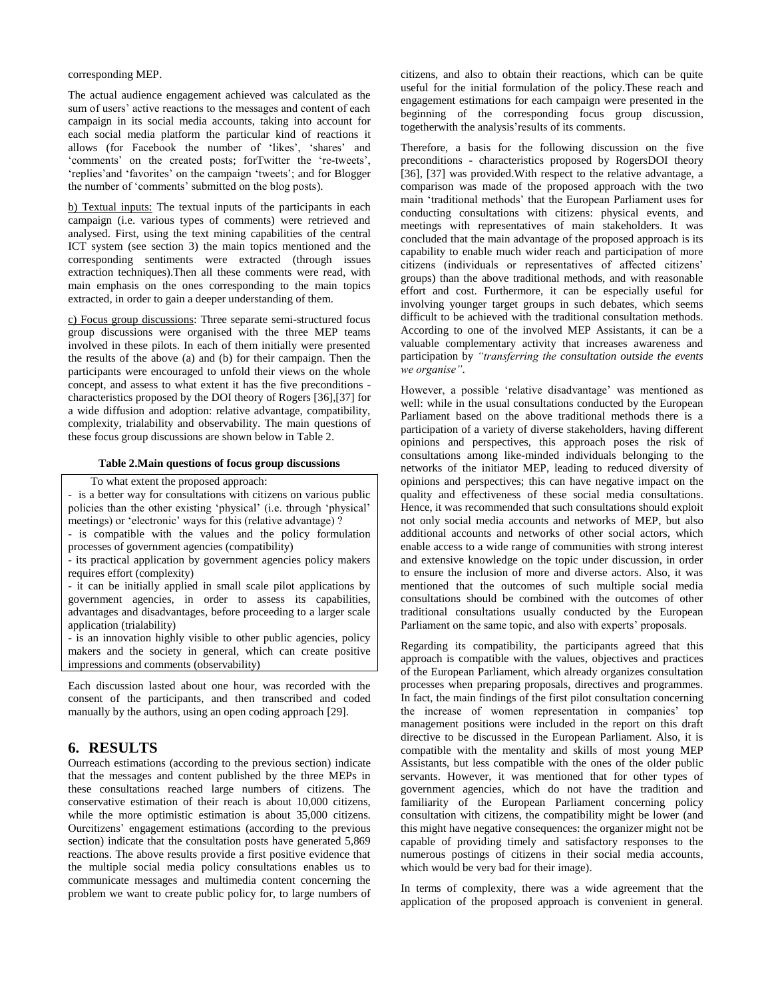#### corresponding MEP.

The actual audience engagement achieved was calculated as the sum of users' active reactions to the messages and content of each campaign in its social media accounts, taking into account for each social media platform the particular kind of reactions it allows (for Facebook the number of 'likes', 'shares' and 'comments' on the created posts; forTwitter the 're-tweets', 'replies'and 'favorites' on the campaign 'tweets'; and for Blogger the number of 'comments' submitted on the blog posts).

b) Textual inputs: The textual inputs of the participants in each campaign (i.e. various types of comments) were retrieved and analysed. First, using the text mining capabilities of the central ICT system (see section 3) the main topics mentioned and the corresponding sentiments were extracted (through issues extraction techniques).Then all these comments were read, with main emphasis on the ones corresponding to the main topics extracted, in order to gain a deeper understanding of them.

c) Focus group discussions: Three separate semi-structured focus group discussions were organised with the three MEP teams involved in these pilots. In each of them initially were presented the results of the above (a) and (b) for their campaign. Then the participants were encouraged to unfold their views on the whole concept, and assess to what extent it has the five preconditions characteristics proposed by the DOI theory of Rogers [36],[37] for a wide diffusion and adoption: relative advantage, compatibility, complexity, trialability and observability. The main questions of these focus group discussions are shown below in Table 2.

#### **Table 2.Main questions of focus group discussions**

To what extent the proposed approach:

- is a better way for consultations with citizens on various public policies than the other existing 'physical' (i.e. through 'physical' meetings) or 'electronic' ways for this (relative advantage) ?

- is compatible with the values and the policy formulation processes of government agencies (compatibility)

- its practical application by government agencies policy makers requires effort (complexity)

- it can be initially applied in small scale pilot applications by government agencies, in order to assess its capabilities, advantages and disadvantages, before proceeding to a larger scale application (trialability)

- is an innovation highly visible to other public agencies, policy makers and the society in general, which can create positive impressions and comments (observability)

Each discussion lasted about one hour, was recorded with the consent of the participants, and then transcribed and coded manually by the authors, using an open coding approach [29].

### **6. RESULTS**

Ourreach estimations (according to the previous section) indicate that the messages and content published by the three MEPs in these consultations reached large numbers of citizens. The conservative estimation of their reach is about 10,000 citizens, while the more optimistic estimation is about 35,000 citizens. Ourcitizens' engagement estimations (according to the previous section) indicate that the consultation posts have generated 5,869 reactions. The above results provide a first positive evidence that the multiple social media policy consultations enables us to communicate messages and multimedia content concerning the problem we want to create public policy for, to large numbers of citizens, and also to obtain their reactions, which can be quite useful for the initial formulation of the policy.These reach and engagement estimations for each campaign were presented in the beginning of the corresponding focus group discussion, togetherwith the analysis'results of its comments.

Therefore, a basis for the following discussion on the five preconditions - characteristics proposed by RogersDOI theory [36], [37] was provided. With respect to the relative advantage, a comparison was made of the proposed approach with the two main 'traditional methods' that the European Parliament uses for conducting consultations with citizens: physical events, and meetings with representatives of main stakeholders. It was concluded that the main advantage of the proposed approach is its capability to enable much wider reach and participation of more citizens (individuals or representatives of affected citizens' groups) than the above traditional methods, and with reasonable effort and cost. Furthermore, it can be especially useful for involving younger target groups in such debates, which seems difficult to be achieved with the traditional consultation methods. According to one of the involved MEP Assistants, it can be a valuable complementary activity that increases awareness and participation by *"transferring the consultation outside the events we organise"*.

However, a possible 'relative disadvantage' was mentioned as well: while in the usual consultations conducted by the European Parliament based on the above traditional methods there is a participation of a variety of diverse stakeholders, having different opinions and perspectives, this approach poses the risk of consultations among like-minded individuals belonging to the networks of the initiator MEP, leading to reduced diversity of opinions and perspectives; this can have negative impact on the quality and effectiveness of these social media consultations. Hence, it was recommended that such consultations should exploit not only social media accounts and networks of MEP, but also additional accounts and networks of other social actors, which enable access to a wide range of communities with strong interest and extensive knowledge on the topic under discussion, in order to ensure the inclusion of more and diverse actors. Also, it was mentioned that the outcomes of such multiple social media consultations should be combined with the outcomes of other traditional consultations usually conducted by the European Parliament on the same topic, and also with experts' proposals.

Regarding its compatibility, the participants agreed that this approach is compatible with the values, objectives and practices of the European Parliament, which already organizes consultation processes when preparing proposals, directives and programmes. In fact, the main findings of the first pilot consultation concerning the increase of women representation in companies' top management positions were included in the report on this draft directive to be discussed in the European Parliament. Also, it is compatible with the mentality and skills of most young MEP Assistants, but less compatible with the ones of the older public servants. However, it was mentioned that for other types of government agencies, which do not have the tradition and familiarity of the European Parliament concerning policy consultation with citizens, the compatibility might be lower (and this might have negative consequences: the organizer might not be capable of providing timely and satisfactory responses to the numerous postings of citizens in their social media accounts, which would be very bad for their image).

In terms of complexity, there was a wide agreement that the application of the proposed approach is convenient in general.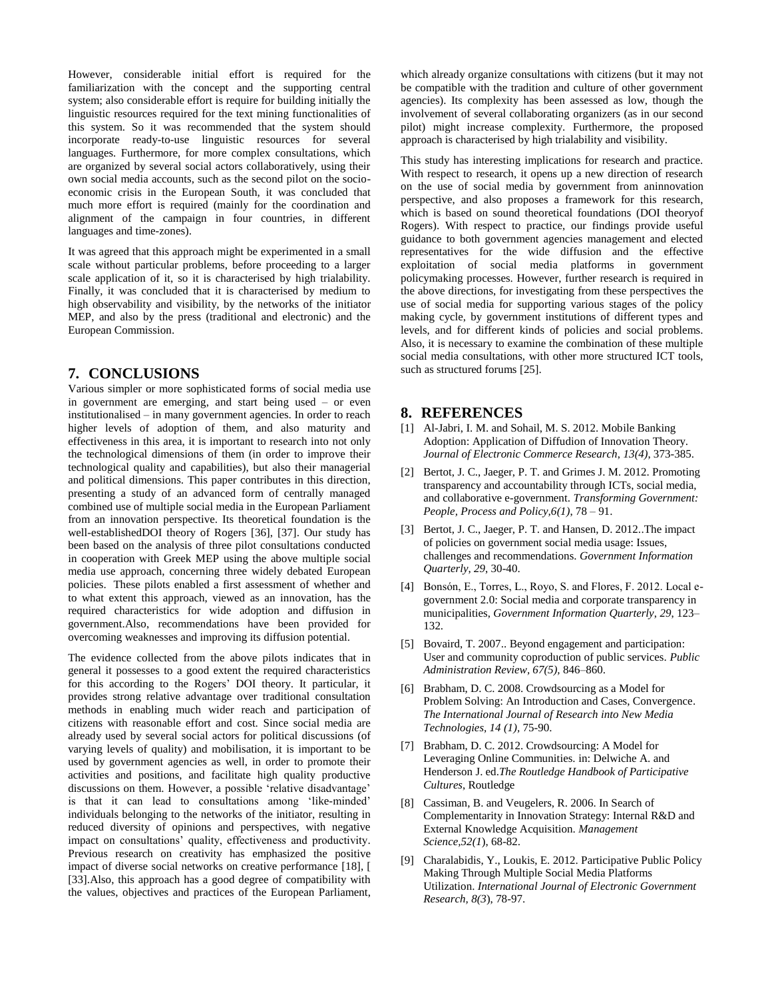However, considerable initial effort is required for the familiarization with the concept and the supporting central system; also considerable effort is require for building initially the linguistic resources required for the text mining functionalities of this system. So it was recommended that the system should incorporate ready-to-use linguistic resources for several languages. Furthermore, for more complex consultations, which are organized by several social actors collaboratively, using their own social media accounts, such as the second pilot on the socioeconomic crisis in the European South, it was concluded that much more effort is required (mainly for the coordination and alignment of the campaign in four countries, in different languages and time-zones).

It was agreed that this approach might be experimented in a small scale without particular problems, before proceeding to a larger scale application of it, so it is characterised by high trialability. Finally, it was concluded that it is characterised by medium to high observability and visibility, by the networks of the initiator MEP, and also by the press (traditional and electronic) and the European Commission.

### **7. CONCLUSIONS**

Various simpler or more sophisticated forms of social media use in government are emerging, and start being used – or even institutionalised – in many government agencies. In order to reach higher levels of adoption of them, and also maturity and effectiveness in this area, it is important to research into not only the technological dimensions of them (in order to improve their technological quality and capabilities), but also their managerial and political dimensions. This paper contributes in this direction, presenting a study of an advanced form of centrally managed combined use of multiple social media in the European Parliament from an innovation perspective. Its theoretical foundation is the well-establishedDOI theory of Rogers [36], [37]. Our study has been based on the analysis of three pilot consultations conducted in cooperation with Greek MEP using the above multiple social media use approach, concerning three widely debated European policies. These pilots enabled a first assessment of whether and to what extent this approach, viewed as an innovation, has the required characteristics for wide adoption and diffusion in government.Also, recommendations have been provided for overcoming weaknesses and improving its diffusion potential.

The evidence collected from the above pilots indicates that in general it possesses to a good extent the required characteristics for this according to the Rogers' DOI theory. It particular, it provides strong relative advantage over traditional consultation methods in enabling much wider reach and participation of citizens with reasonable effort and cost. Since social media are already used by several social actors for political discussions (of varying levels of quality) and mobilisation, it is important to be used by government agencies as well, in order to promote their activities and positions, and facilitate high quality productive discussions on them. However, a possible 'relative disadvantage' is that it can lead to consultations among 'like-minded' individuals belonging to the networks of the initiator, resulting in reduced diversity of opinions and perspectives, with negative impact on consultations' quality, effectiveness and productivity. Previous research on creativity has emphasized the positive impact of diverse social networks on creative performance [18], [ [33].Also, this approach has a good degree of compatibility with the values, objectives and practices of the European Parliament,

which already organize consultations with citizens (but it may not be compatible with the tradition and culture of other government agencies). Its complexity has been assessed as low, though the involvement of several collaborating organizers (as in our second pilot) might increase complexity. Furthermore, the proposed approach is characterised by high trialability and visibility.

This study has interesting implications for research and practice. With respect to research, it opens up a new direction of research on the use of social media by government from aninnovation perspective, and also proposes a framework for this research, which is based on sound theoretical foundations (DOI theoryof Rogers). With respect to practice, our findings provide useful guidance to both government agencies management and elected representatives for the wide diffusion and the effective exploitation of social media platforms in government policymaking processes. However, further research is required in the above directions, for investigating from these perspectives the use of social media for supporting various stages of the policy making cycle, by government institutions of different types and levels, and for different kinds of policies and social problems. Also, it is necessary to examine the combination of these multiple social media consultations, with other more structured ICT tools, such as structured forums [25].

### **8. REFERENCES**

- [1] Al-Jabri, I. M. and Sohail, M. S. 2012. Mobile Banking Adoption: Application of Diffudion of Innovation Theory. *Journal of Electronic Commerce Research*, *13(4)*, 373-385.
- [2] Bertot, J. C., Jaeger, P. T. and Grimes J. M. 2012. Promoting transparency and accountability through ICTs, social media, and collaborative e-government. *Transforming Government: People, Process and Policy,6(1)*, 78 – 91.
- [3] Bertot, J. C., Jaeger, P. T. and Hansen, D. 2012..The impact of policies on government social media usage: Issues, challenges and recommendations. *Government Information Quarterly*, *29*, 30-40.
- [4] Bonsón, E., Torres, L., Royo, S. and Flores, F. 2012. Local egovernment 2.0: Social media and corporate transparency in municipalities, *Government Information Quarterly*, *29*, 123– 132.
- [5] Bovaird, T. 2007.. Beyond engagement and participation: User and community coproduction of public services. *Public Administration Review, 67(5),* 846–860.
- [6] Brabham, D. C. 2008. Crowdsourcing as a Model for Problem Solving: An Introduction and Cases, Convergence. *The International Journal of Research into New Media Technologies, 14 (1),* 75-90.
- [7] Brabham, D. C. 2012. Crowdsourcing: A Model for Leveraging Online Communities. in: Delwiche A. and Henderson J. ed.*The Routledge Handbook of Participative Cultures*, Routledge
- [8] Cassiman, B. and Veugelers, R. 2006. In Search of Complementarity in Innovation Strategy: Internal R&D and External Knowledge Acquisition. *Management Science,52(1*), 68-82.
- [9] Charalabidis, Y., Loukis, E. 2012. Participative Public Policy Making Through Multiple Social Media Platforms Utilization. *International Journal of Electronic Government Research, 8(3*), 78-97.